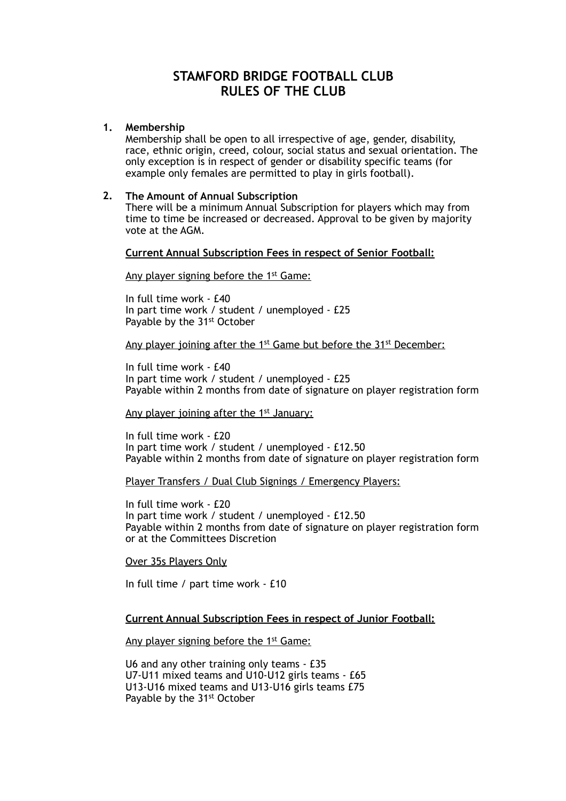# **STAMFORD BRIDGE FOOTBALL CLUB RULES OF THE CLUB**

#### **1. Membership**

Membership shall be open to all irrespective of age, gender, disability, race, ethnic origin, creed, colour, social status and sexual orientation. The only exception is in respect of gender or disability specific teams (for example only females are permitted to play in girls football).

### **2. The Amount of Annual Subscription**

There will be a minimum Annual Subscription for players which may from time to time be increased or decreased. Approval to be given by majority vote at the AGM.

## **Current Annual Subscription Fees in respect of Senior Football:**

Any player signing before the 1<sup>st</sup> Game:

In full time work - £40 In part time work / student / unemployed - £25 Payable by the 31<sup>st</sup> October

#### Any player joining after the 1<sup>st</sup> Game but before the 31<sup>st</sup> December:

In full time work - £40 In part time work / student / unemployed - £25 Payable within 2 months from date of signature on player registration form

Any player joining after the 1<sup>st</sup> January:

In full time work - £20 In part time work / student / unemployed - £12.50 Payable within 2 months from date of signature on player registration form

#### Player Transfers / Dual Club Signings / Emergency Players:

In full time work - £20 In part time work / student / unemployed - £12.50 Payable within 2 months from date of signature on player registration form or at the Committees Discretion

#### Over 35s Players Only

In full time / part time work - £10

## **Current Annual Subscription Fees in respect of Junior Football:**

Any player signing before the 1<sup>st</sup> Game:

U6 and any other training only teams - £35 U7-U11 mixed teams and U10-U12 girls teams - £65 U13-U16 mixed teams and U13-U16 girls teams £75 Payable by the 31<sup>st</sup> October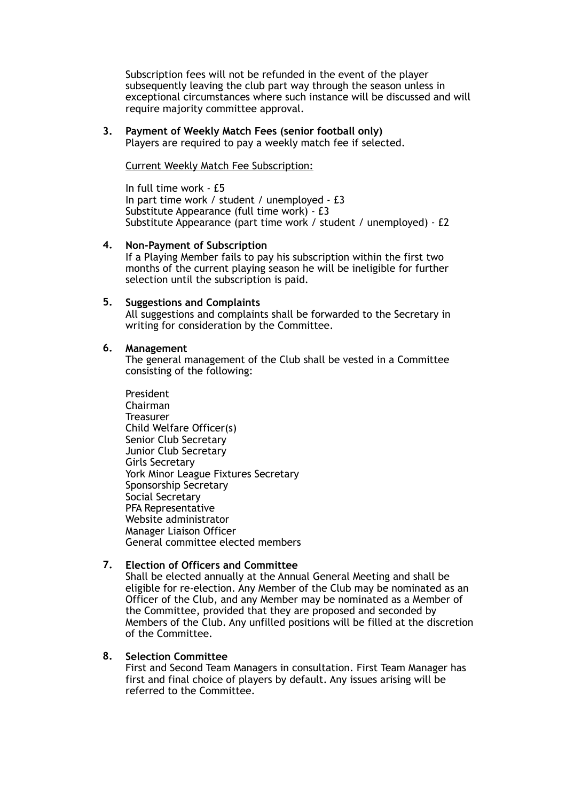Subscription fees will not be refunded in the event of the player subsequently leaving the club part way through the season unless in exceptional circumstances where such instance will be discussed and will require majority committee approval.

## **3. Payment of Weekly Match Fees (senior football only)**

Players are required to pay a weekly match fee if selected.

Current Weekly Match Fee Subscription:

In full time work - £5 In part time work / student / unemployed - £3 Substitute Appearance (full time work) - £3 Substitute Appearance (part time work / student / unemployed) - £2

## **4. Non-Payment of Subscription**

If a Playing Member fails to pay his subscription within the first two months of the current playing season he will be ineligible for further selection until the subscription is paid.

## **5. Suggestions and Complaints**

All suggestions and complaints shall be forwarded to the Secretary in writing for consideration by the Committee.

## **6. Management**

The general management of the Club shall be vested in a Committee consisting of the following:

President Chairman Treasurer Child Welfare Officer(s) Senior Club Secretary Junior Club Secretary Girls Secretary York Minor League Fixtures Secretary Sponsorship Secretary Social Secretary PFA Representative Website administrator Manager Liaison Officer General committee elected members

## **7. Election of Officers and Committee**

Shall be elected annually at the Annual General Meeting and shall be eligible for re-election. Any Member of the Club may be nominated as an Officer of the Club, and any Member may be nominated as a Member of the Committee, provided that they are proposed and seconded by Members of the Club. Any unfilled positions will be filled at the discretion of the Committee.

## **8. Selection Committee**

First and Second Team Managers in consultation. First Team Manager has first and final choice of players by default. Any issues arising will be referred to the Committee.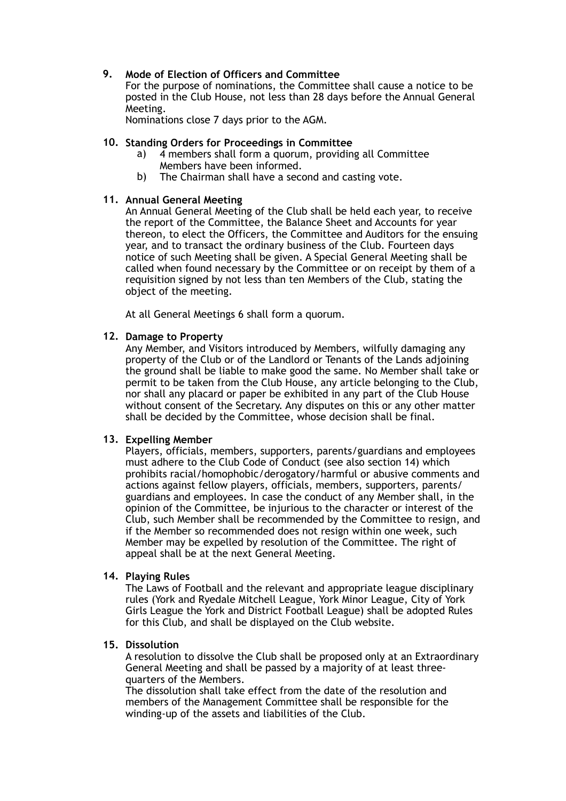## **9. Mode of Election of Officers and Committee**

For the purpose of nominations, the Committee shall cause a notice to be posted in the Club House, not less than 28 days before the Annual General Meeting.

Nominations close 7 days prior to the AGM.

### **10. Standing Orders for Proceedings in Committee**

- a) 4 members shall form a quorum, providing all Committee Members have been informed.
- b) The Chairman shall have a second and casting vote.

## **11. Annual General Meeting**

An Annual General Meeting of the Club shall be held each year, to receive the report of the Committee, the Balance Sheet and Accounts for year thereon, to elect the Officers, the Committee and Auditors for the ensuing year, and to transact the ordinary business of the Club. Fourteen days notice of such Meeting shall be given. A Special General Meeting shall be called when found necessary by the Committee or on receipt by them of a requisition signed by not less than ten Members of the Club, stating the object of the meeting.

At all General Meetings 6 shall form a quorum.

## **12. Damage to Property**

Any Member, and Visitors introduced by Members, wilfully damaging any property of the Club or of the Landlord or Tenants of the Lands adjoining the ground shall be liable to make good the same. No Member shall take or permit to be taken from the Club House, any article belonging to the Club, nor shall any placard or paper be exhibited in any part of the Club House without consent of the Secretary. Any disputes on this or any other matter shall be decided by the Committee, whose decision shall be final.

#### **13. Expelling Member**

Players, officials, members, supporters, parents/guardians and employees must adhere to the Club Code of Conduct (see also section 14) which prohibits racial/homophobic/derogatory/harmful or abusive comments and actions against fellow players, officials, members, supporters, parents/ guardians and employees. In case the conduct of any Member shall, in the opinion of the Committee, be injurious to the character or interest of the Club, such Member shall be recommended by the Committee to resign, and if the Member so recommended does not resign within one week, such Member may be expelled by resolution of the Committee. The right of appeal shall be at the next General Meeting.

#### **14. Playing Rules**

The Laws of Football and the relevant and appropriate league disciplinary rules (York and Ryedale Mitchell League, York Minor League, City of York Girls League the York and District Football League) shall be adopted Rules for this Club, and shall be displayed on the Club website.

## **15. Dissolution**

A resolution to dissolve the Club shall be proposed only at an Extraordinary General Meeting and shall be passed by a majority of at least threequarters of the Members.

The dissolution shall take effect from the date of the resolution and members of the Management Committee shall be responsible for the winding-up of the assets and liabilities of the Club.